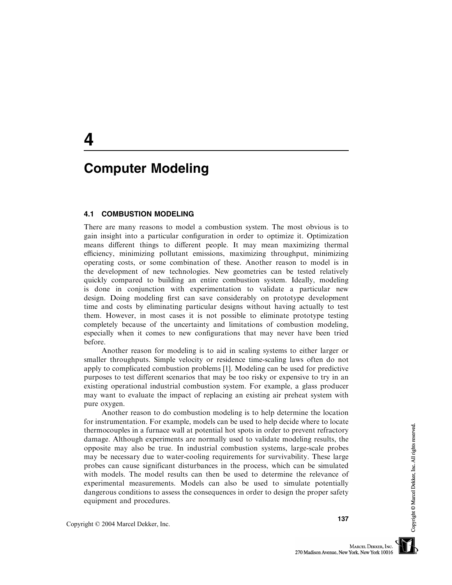## Computer Modeling

## 4.1 COMBUSTION MODELING

There are many reasons to model a combustion system. The most obvious is to gain insight into a particular configuration in order to optimize it. Optimization means different things to different people. It may mean maximizing thermal efficiency, minimizing pollutant emissions, maximizing throughput, minimizing operating costs, or some combination of these. Another reason to model is in the development of new technologies. New geometries can be tested relatively quickly compared to building an entire combustion system. Ideally, modeling is done in conjunction with experimentation to validate a particular new design. Doing modeling first can save considerably on prototype development time and costs by eliminating particular designs without having actually to test them. However, in most cases it is not possible to eliminate prototype testing completely because of the uncertainty and limitations of combustion modeling, especially when it comes to new configurations that may never have been tried before.

Another reason for modeling is to aid in scaling systems to either larger or smaller throughputs. Simple velocity or residence time-scaling laws often do not apply to complicated combustion problems [1]. Modeling can be used for predictive purposes to test different scenarios that may be too risky or expensive to try in an existing operational industrial combustion system. For example, a glass producer may want to evaluate the impact of replacing an existing air preheat system with pure oxygen.

Another reason to do combustion modeling is to help determine the location for instrumentation. For example, models can be used to help decide where to locate thermocouples in a furnace wall at potential hot spots in order to prevent refractory damage. Although experiments are normally used to validate modeling results, the opposite may also be true. In industrial combustion systems, large-scale probes may be necessary due to water-cooling requirements for survivability. These large probes can cause significant disturbances in the process, which can be simulated with models. The model results can then be used to determine the relevance of experimental measurements. Models can also be used to simulate potentially dangerous conditions to assess the consequences in order to design the proper safety equipment and procedures.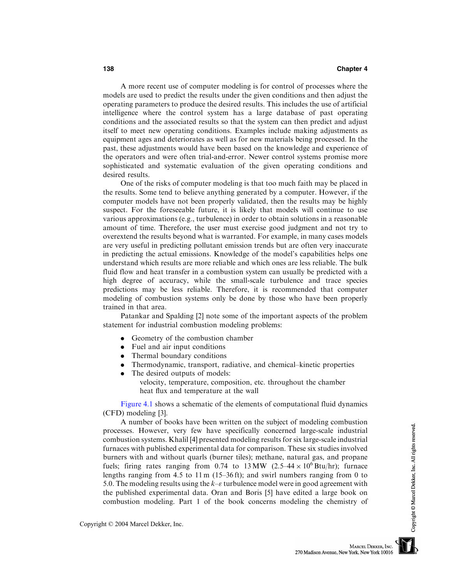A more recent use of computer modeling is for control of processes where the models are used to predict the results under the given conditions and then adjust the operating parameters to produce the desired results. This includes the use of artificial intelligence where the control system has a large database of past operating conditions and the associated results so that the system can then predict and adjust itself to meet new operating conditions. Examples include making adjustments as equipment ages and deteriorates as well as for new materials being processed. In the past, these adjustments would have been based on the knowledge and experience of the operators and were often trial-and-error. Newer control systems promise more sophisticated and systematic evaluation of the given operating conditions and desired results.

One of the risks of computer modeling is that too much faith may be placed in the results. Some tend to believe anything generated by a computer. However, if the computer models have not been properly validated, then the results may be highly suspect. For the foreseeable future, it is likely that models will continue to use various approximations (e.g., turbulence) in order to obtain solutions in a reasonable amount of time. Therefore, the user must exercise good judgment and not try to overextend the results beyond what is warranted. For example, in many cases models are very useful in predicting pollutant emission trends but are often very inaccurate in predicting the actual emissions. Knowledge of the model's capabilities helps one understand which results are more reliable and which ones are less reliable. The bulk fluid flow and heat transfer in a combustion system can usually be predicted with a high degree of accuracy, while the small-scale turbulence and trace species predictions may be less reliable. Therefore, it is recommended that computer modeling of combustion systems only be done by those who have been properly trained in that area.

Patankar and Spalding [2] note some of the important aspects of the problem statement for industrial combustion modeling problems:

- Geometry of the combustion chamber
- Fuel and air input conditions
- Thermal boundary conditions
- . Thermodynamic, transport, radiative, and chemical–kinetic properties
- The desired outputs of models: velocity, temperature, composition, etc. throughout the chamber heat flux and temperature at the wall

[Figure](#page-2-0) 4.1 shows a schematic of the elements of computational fluid dynamics (CFD) modeling [3].

A number of books have been written on the subject of modeling combustion processes. However, very few have specifically concerned large-scale industrial combustion systems. Khalil [4] presented modeling results for six large-scale industrial furnaces with published experimental data for comparison. These six studies involved burners with and without quarls (burner tiles); methane, natural gas, and propane fuels; firing rates ranging from 0.74 to 13 MW (2.5–44  $\times$  10<sup>6</sup> Btu/hr); furnace lengths ranging from 4.5 to 11 m (15–36 ft); and swirl numbers ranging from 0 to 5.0. The modeling results using the  $k$ - $\varepsilon$  turbulence model were in good agreement with the published experimental data. Oran and Boris [5] have edited a large book on combustion modeling. Part 1 of the book concerns modeling the chemistry of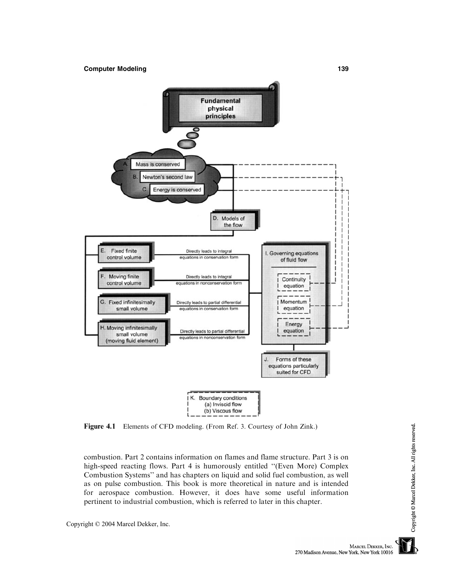<span id="page-2-0"></span>

Figure 4.1 Elements of CFD modeling. (From Ref. 3. Courtesy of John Zink.)

combustion. Part 2 contains information on flames and flame structure. Part 3 is on high-speed reacting flows. Part 4 is humorously entitled ''(Even More) Complex Combustion Systems'' and has chapters on liquid and solid fuel combustion, as well as on pulse combustion. This book is more theoretical in nature and is intended for aerospace combustion. However, it does have some useful information pertinent to industrial combustion, which is referred to later in this chapter.

Copyright © 2004 Marcel Dekker, Inc.